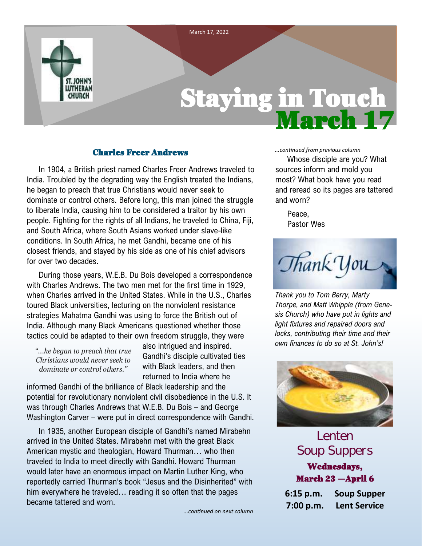

#### Charles Freer Andrews

In 1904, a British priest named Charles Freer Andrews traveled to India. Troubled by the degrading way the English treated the Indians, he began to preach that true Christians would never seek to dominate or control others. Before long, this man joined the struggle to liberate India, causing him to be considered a traitor by his own people. Fighting for the rights of all Indians, he traveled to China, Fiji, and South Africa, where South Asians worked under slave-like conditions. In South Africa, he met Gandhi, became one of his closest friends, and stayed by his side as one of his chief advisors for over two decades.

During those years, W.E.B. Du Bois developed a correspondence with Charles Andrews. The two men met for the first time in 1929, when Charles arrived in the United States. While in the U.S., Charles toured Black universities, lecturing on the nonviolent resistance strategies Mahatma Gandhi was using to force the British out of India. Although many Black Americans questioned whether those tactics could be adapted to their own freedom struggle, they were

*"...he began to preach that true Christians would never seek to dominate or control others."*

also intrigued and inspired. Gandhi's disciple cultivated ties with Black leaders, and then returned to India where he

informed Gandhi of the brilliance of Black leadership and the potential for revolutionary nonviolent civil disobedience in the U.S. It was through Charles Andrews that W.E.B. Du Bois – and George Washington Carver – were put in direct correspondence with Gandhi.

In 1935, another European disciple of Gandhi's named Mirabehn arrived in the United States. Mirabehn met with the great Black American mystic and theologian, Howard Thurman… who then traveled to India to meet directly with Gandhi. Howard Thurman would later have an enormous impact on Martin Luther King, who reportedly carried Thurman's book "Jesus and the Disinherited" with him everywhere he traveled… reading it so often that the pages became tattered and worn.

*...continued on next column*

#### *...continued from previous column*

Whose disciple are you? What sources inform and mold you most? What book have you read and reread so its pages are tattered and worn?

Peace, Pastor Wes

Thank You

*Thank you to Tom Berry, Marty Thorpe, and Matt Whipple (from Genesis Church) who have put in lights and light fixtures and repaired doors and locks, contributing their time and their own finances to do so at St. John's!*



**Lenten Soup Suppers** Wednesdays, March 23 —April 6

**6:15 p.m. Soup Supper 7:00 p.m. Lent Service**